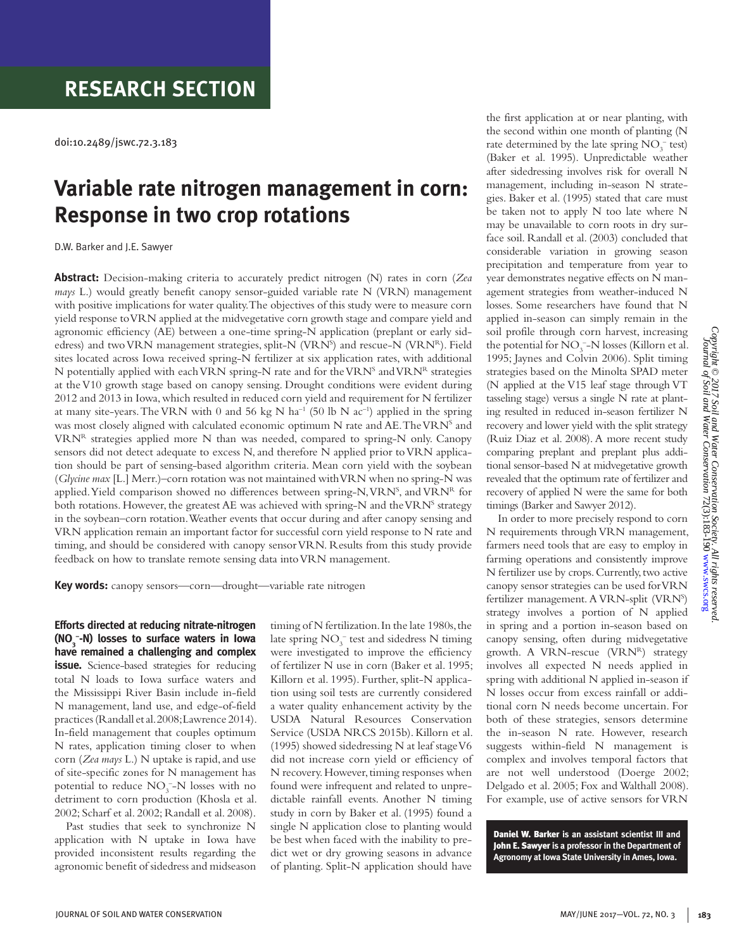doi:10.2489/jswc.72.3.183

# **Variable rate nitrogen management in corn: Response in two crop rotations**

D.W. Barker and J.E. Sawyer

**Abstract:** Decision-making criteria to accurately predict nitrogen (N) rates in corn (*Zea mays* L.) would greatly benefit canopy sensor-guided variable rate N (VRN) management with positive implications for water quality. The objectives of this study were to measure corn yield response to VRN applied at the midvegetative corn growth stage and compare yield and agronomic efficiency (AE) between a one-time spring-N application (preplant or early sidedress) and two VRN management strategies, split-N (VRN<sup>s</sup>) and rescue-N (VRN<sup>R</sup>). Field sites located across Iowa received spring-N fertilizer at six application rates, with additional N potentially applied with each VRN spring-N rate and for the VRN<sup>S</sup> and VRN<sup>R</sup> strategies at the V10 growth stage based on canopy sensing. Drought conditions were evident during 2012 and 2013 in Iowa, which resulted in reduced corn yield and requirement for N fertilizer at many site-years. The VRN with 0 and 56 kg N ha<sup>-1</sup> (50 lb N ac<sup>-1</sup>) applied in the spring was most closely aligned with calculated economic optimum N rate and AE. The VRN<sup>s</sup> and VRNR strategies applied more N than was needed, compared to spring-N only. Canopy sensors did not detect adequate to excess N, and therefore N applied prior to VRN application should be part of sensing-based algorithm criteria. Mean corn yield with the soybean (*Glycine max* [L.] Merr.)–corn rotation was not maintained with VRN when no spring-N was applied. Yield comparison showed no differences between spring-N, VRN<sup>s</sup>, and VRN<sup>R</sup> for both rotations. However, the greatest AE was achieved with spring-N and the VRN<sup>S</sup> strategy in the soybean–corn rotation. Weather events that occur during and after canopy sensing and VRN application remain an important factor for successful corn yield response to N rate and timing, and should be considered with canopy sensor VRN. Results from this study provide feedback on how to translate remote sensing data into VRN management.

**Key words:** canopy sensors—corn—drought—variable rate nitrogen

**Efforts directed at reducing nitrate-nitrogen (NO3 – -N) losses to surface waters in Iowa have remained a challenging and complex issue.** Science-based strategies for reducing total N loads to Iowa surface waters and the Mississippi River Basin include in-field N management, land use, and edge-of-field practices (Randall et al. 2008; Lawrence 2014). In-field management that couples optimum N rates, application timing closer to when corn (*Zea mays* L.) N uptake is rapid, and use of site-specific zones for N management has potential to reduce  $NO<sub>3</sub><sup>-</sup>-N$  losses with no detriment to corn production (Khosla et al. 2002; Scharf et al. 2002; Randall et al. 2008).

Past studies that seek to synchronize N application with N uptake in Iowa have provided inconsistent results regarding the agronomic benefit of sidedress and midseason timing of N fertilization. In the late 1980s, the late spring  $NO_3^-$  test and sidedress N timing were investigated to improve the efficiency of fertilizer N use in corn (Baker et al. 1995; Killorn et al. 1995). Further, split-N application using soil tests are currently considered a water quality enhancement activity by the USDA Natural Resources Conservation Service (USDA NRCS 2015b). Killorn et al. (1995) showed sidedressing N at leaf stage V6 did not increase corn yield or efficiency of N recovery. However, timing responses when found were infrequent and related to unpredictable rainfall events. Another N timing study in corn by Baker et al. (1995) found a single N application close to planting would be best when faced with the inability to predict wet or dry growing seasons in advance of planting. Split-N application should have

the first application at or near planting, with the second within one month of planting (N rate determined by the late spring  $NO_3^-$  test) (Baker et al. 1995). Unpredictable weather after sidedressing involves risk for overall N management, including in-season N strategies. Baker et al. (1995) stated that care must be taken not to apply N too late where N may be unavailable to corn roots in dry surface soil. Randall et al. (2003) concluded that considerable variation in growing season precipitation and temperature from year to year demonstrates negative effects on N management strategies from weather-induced N losses. Some researchers have found that N applied in-season can simply remain in the soil profile through corn harvest, increasing the potential for  $NO_3^-$ –N losses (Killorn et al. 1995; Jaynes and Colvin 2006). Split timing strategies based on the Minolta SPAD meter (N applied at the V15 leaf stage through VT tasseling stage) versus a single N rate at planting resulted in reduced in-season fertilizer N recovery and lower yield with the split strategy (Ruiz Diaz et al. 2008). A more recent study comparing preplant and preplant plus additional sensor-based N at midvegetative growth revealed that the optimum rate of fertilizer and recovery of applied N were the same for both timings (Barker and Sawyer 2012).

In order to more precisely respond to corn N requirements through VRN management, farmers need tools that are easy to employ in farming operations and consistently improve N fertilizer use by crops. Currently, two active canopy sensor strategies can be used for VRN fertilizer management. A VRN-split (VRN<sup>S</sup>) strategy involves a portion of N applied in spring and a portion in-season based on canopy sensing, often during midvegetative growth. A VRN-rescue (VRNR) strategy involves all expected N needs applied in spring with additional N applied in-season if N losses occur from excess rainfall or additional corn N needs become uncertain. For both of these strategies, sensors determine the in-season N rate. However, research suggests within-field N management is complex and involves temporal factors that are not well understood (Doerge 2002; Delgado et al. 2005; Fox and Walthall 2008). For example, use of active sensors for VRN

Daniel W. Barker **is an assistant scientist III and**  John E. Sawyer **is a professor in the Department of Agronomy at Iowa State University in Ames, Iowa.**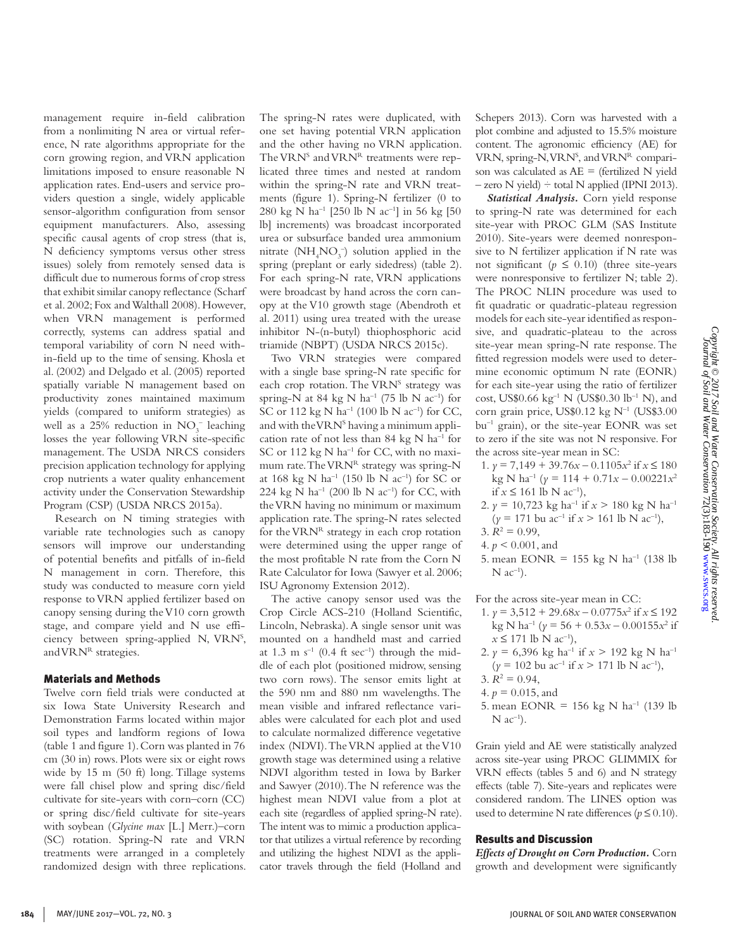Copyright © 2017 Soil and Water Conservation Society. All rights reserved<br>Journal of Soil and Water Conservation 72(3):183-190 www.swcs.org *Copyright © 2017 Soil and Water Conservation Society. All rights reserved.* Journal of Soil and Water Conservation 72(3):183-190 [www.swcs.org](http://www.swcs.org)

management require in-field calibration from a nonlimiting N area or virtual reference, N rate algorithms appropriate for the corn growing region, and VRN application limitations imposed to ensure reasonable N application rates. End-users and service providers question a single, widely applicable sensor-algorithm configuration from sensor equipment manufacturers. Also, assessing specific causal agents of crop stress (that is, N deficiency symptoms versus other stress issues) solely from remotely sensed data is difficult due to numerous forms of crop stress that exhibit similar canopy reflectance (Scharf et al. 2002; Fox and Walthall 2008). However, when VRN management is performed correctly, systems can address spatial and temporal variability of corn N need within-field up to the time of sensing. Khosla et al. (2002) and Delgado et al. (2005) reported spatially variable N management based on productivity zones maintained maximum yields (compared to uniform strategies) as well as a 25% reduction in  $NO_3^-$  leaching losses the year following VRN site-specific management. The USDA NRCS considers precision application technology for applying crop nutrients a water quality enhancement activity under the Conservation Stewardship Program (CSP) (USDA NRCS 2015a).

Research on N timing strategies with variable rate technologies such as canopy sensors will improve our understanding of potential benefits and pitfalls of in-field N management in corn. Therefore, this study was conducted to measure corn yield response to VRN applied fertilizer based on canopy sensing during the V10 corn growth stage, and compare yield and N use efficiency between spring-applied N, VRNS , and VRNR strategies.

#### Materials and Methods

Twelve corn field trials were conducted at six Iowa State University Research and Demonstration Farms located within major soil types and landform regions of Iowa (table 1 and figure 1). Corn was planted in 76 cm (30 in) rows. Plots were six or eight rows wide by 15 m (50 ft) long. Tillage systems were fall chisel plow and spring disc/field cultivate for site-years with corn–corn (CC) or spring disc/field cultivate for site-years with soybean (*Glycine max* [L.] Merr.)–corn (SC) rotation. Spring-N rate and VRN treatments were arranged in a completely randomized design with three replications. The spring-N rates were duplicated, with one set having potential VRN application and the other having no VRN application. The VRN<sup>S</sup> and VRN<sup>R</sup> treatments were replicated three times and nested at random within the spring-N rate and VRN treatments (figure 1). Spring-N fertilizer (0 to 280 kg N ha<sup>-1</sup> [250 lb N ac<sup>-1</sup>] in 56 kg [50 lb] increments) was broadcast incorporated urea or subsurface banded urea ammonium nitrate  $(NH<sub>4</sub>NO<sub>3</sub><sup>-</sup>)$  solution applied in the spring (preplant or early sidedress) (table 2). For each spring-N rate, VRN applications were broadcast by hand across the corn canopy at the V10 growth stage (Abendroth et al. 2011) using urea treated with the urease inhibitor N-(n-butyl) thiophosphoric acid triamide (NBPT) (USDA NRCS 2015c).

Two VRN strategies were compared with a single base spring-N rate specific for each crop rotation. The VRN<sup>S</sup> strategy was spring-N at 84 kg N ha<sup>-1</sup> (75 lb N ac<sup>-1</sup>) for SC or 112 kg N ha<sup>-1</sup> (100 lb N ac<sup>-1</sup>) for CC, and with the VRN<sup>s</sup> having a minimum application rate of not less than 84 kg N  $ha^{-1}$  for SC or 112 kg  $N$  ha<sup>-1</sup> for CC, with no maximum rate. The VRNR strategy was spring-N at 168 kg N ha<sup>-1</sup> (150 lb N ac<sup>-1</sup>) for SC or 224 kg N ha<sup>-1</sup> (200 lb N ac<sup>-1</sup>) for CC, with the VRN having no minimum or maximum application rate. The spring-N rates selected for the  $VRN<sup>R</sup>$  strategy in each crop rotation were determined using the upper range of the most profitable N rate from the Corn N Rate Calculator for Iowa (Sawyer et al. 2006; ISU Agronomy Extension 2012).

The active canopy sensor used was the Crop Circle ACS-210 (Holland Scientific, Lincoln, Nebraska). A single sensor unit was mounted on a handheld mast and carried at 1.3 m  $s^{-1}$  (0.4 ft sec<sup>-1</sup>) through the middle of each plot (positioned midrow, sensing two corn rows). The sensor emits light at the 590 nm and 880 nm wavelengths. The mean visible and infrared reflectance variables were calculated for each plot and used to calculate normalized difference vegetative index (NDVI). The VRN applied at the V10 growth stage was determined using a relative NDVI algorithm tested in Iowa by Barker and Sawyer (2010). The N reference was the highest mean NDVI value from a plot at each site (regardless of applied spring-N rate). The intent was to mimic a production applicator that utilizes a virtual reference by recording and utilizing the highest NDVI as the applicator travels through the field (Holland and

Schepers 2013). Corn was harvested with a plot combine and adjusted to 15.5% moisture content. The agronomic efficiency (AE) for VRN, spring-N, VRN<sup>S</sup>, and VRN<sup>R</sup> comparison was calculated as  $AE =$  (fertilized N yield  $-$  zero N yield)  $\div$  total N applied (IPNI 2013).

*Statistical Analysis.* Corn yield response to spring-N rate was determined for each site-year with PROC GLM (SAS Institute 2010). Site-years were deemed nonresponsive to N fertilizer application if N rate was not significant ( $p \leq 0.10$ ) (three site-years were nonresponsive to fertilizer N; table 2). The PROC NLIN procedure was used to fit quadratic or quadratic-plateau regression models for each site-year identified as responsive, and quadratic-plateau to the across site-year mean spring-N rate response. The fitted regression models were used to determine economic optimum N rate (EONR) for each site-year using the ratio of fertilizer cost, US\$0.66 kg<sup>-1</sup> N (US\$0.30 lb<sup>-1</sup> N), and corn grain price, US\$0.12 kg  $N^{-1}$  (US\$3.00 bu–1 grain), or the site-year EONR was set to zero if the site was not N responsive. For the across site-year mean in SC:

- 1. *γ* = 7,149 + 39.76*x* − 0.1105*x*<sup>2</sup> if *x* ≤ 180 kg N ha–1 (*y* = 114 + 0.71*x* – 0.00221*x*<sup>2</sup> if *x* ≤ 161 lb N ac<sup>-1</sup>),
- 2.  $\gamma = 10,723$  kg ha<sup>-1</sup> if  $x > 180$  kg N ha<sup>-1</sup>  $(y = 171$  bu ac<sup>-1</sup> if  $x > 161$  lb N ac<sup>-1</sup>),
- $3. R^2 = 0.99$ ,
- 4. *p* < 0.001, and
- 5. mean EONR = 155 kg N ha<sup>-1</sup> (138 lb)  $N$  ac<sup>-1</sup>).

For the across site-year mean in CC:

- 1. *γ* = 3,512 + 29.68*x* − 0.0775*x*<sup>2</sup> if *x* ≤ 192  $\text{kg N ha}^{-1}$  ( $\gamma = 56 + 0.53x - 0.00155x^2$  if  $x$  ≤ 171 lb N ac<sup>-1</sup>),
- 2.  $\gamma = 6,396$  kg ha<sup>-1</sup> if  $x > 192$  kg N ha<sup>-1</sup>  $(y = 102 \text{ bu } \text{ac}^{-1} \text{ if } x > 171 \text{ lb N } \text{ac}^{-1}),$
- $3. R^2 = 0.94,$
- 4.  $p = 0.015$ , and
- 5. mean EONR = 156 kg N ha<sup>-1</sup> (139 lb  $N$   $ac^{-1}$ ).

Grain yield and AE were statistically analyzed across site-year using PROC GLIMMIX for VRN effects (tables 5 and 6) and N strategy effects (table 7). Site-years and replicates were considered random. The LINES option was used to determine N rate differences ( $p \leq 0.10$ ).

### Results and Discussion

*Effects of Drought on Corn Production.* Corn growth and development were significantly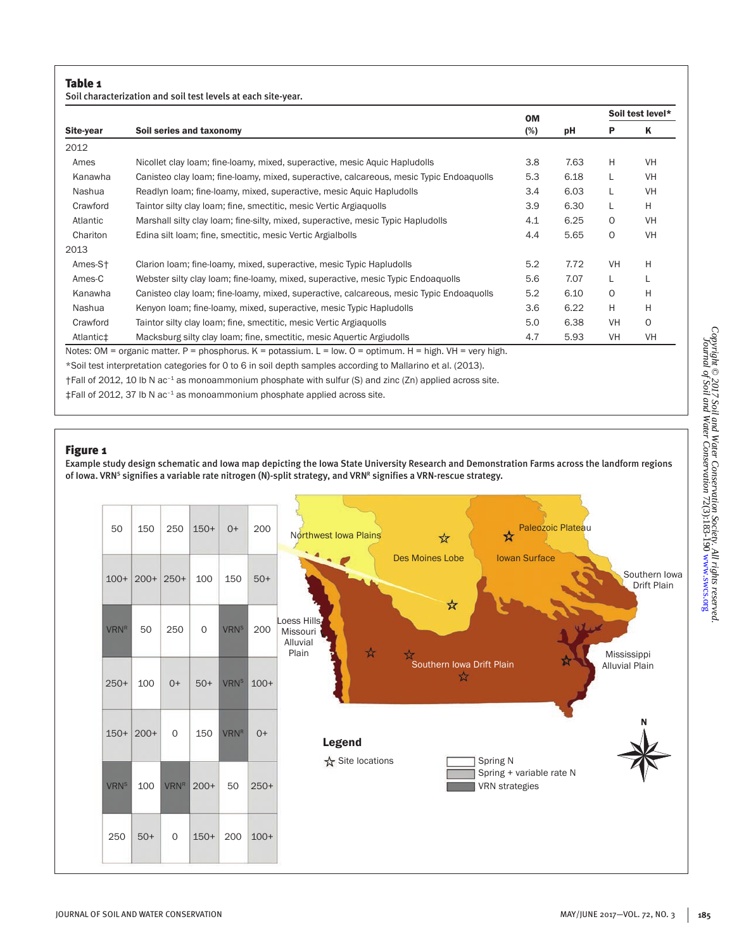Soil characterization and soil test levels at each site-year.

|           |                                                                                                                        |                                                                                 |      | Soil test level* |           |
|-----------|------------------------------------------------------------------------------------------------------------------------|---------------------------------------------------------------------------------|------|------------------|-----------|
| Site-year | Soil series and taxonomy                                                                                               | <b>OM</b><br>(%)<br>3.8<br>5.3<br>3.4<br>3.9<br>4.1<br>4.4<br>5.2<br>5.6<br>5.2 | рH   | Р                | Κ         |
| 2012      |                                                                                                                        |                                                                                 |      |                  |           |
| Ames      | Nicollet clay loam; fine-loamy, mixed, superactive, mesic Aquic Hapludolls                                             |                                                                                 | 7.63 | H                | <b>VH</b> |
| Kanawha   | Canisteo clay loam; fine-loamy, mixed, superactive, calcareous, mesic Typic Endoaquolls                                |                                                                                 | 6.18 | L                | <b>VH</b> |
| Nashua    | Readlyn Ioam; fine-Ioamy, mixed, superactive, mesic Aguic Hapludolls                                                   |                                                                                 | 6.03 | L                | <b>VH</b> |
| Crawford  | Taintor silty clay loam; fine, smectitic, mesic Vertic Argiaquolls                                                     |                                                                                 | 6.30 | L                | H         |
| Atlantic  | Marshall silty clay loam; fine-silty, mixed, superactive, mesic Typic Hapludolls                                       |                                                                                 | 6.25 | 0                | <b>VH</b> |
| Chariton  | Edina silt loam; fine, smectitic, mesic Vertic Argialbolls                                                             |                                                                                 | 5.65 | 0                | <b>VH</b> |
| 2013      |                                                                                                                        |                                                                                 |      |                  |           |
| Ames-St   | Clarion Ioam; fine-Ioamy, mixed, superactive, mesic Typic Hapludolls                                                   |                                                                                 | 7.72 | <b>VH</b>        | H         |
| Ames-C    | Webster silty clay loam; fine-loamy, mixed, superactive, mesic Typic Endoaquolls                                       |                                                                                 | 7.07 | L                |           |
| Kanawha   | Canisteo clay loam; fine-loamy, mixed, superactive, calcareous, mesic Typic Endoaquolls                                |                                                                                 | 6.10 | 0                | H         |
| Nashua    | Kenyon Ioam; fine-loamy, mixed, superactive, mesic Typic Hapludolls                                                    | 3.6                                                                             | 6.22 | H                | H         |
| Crawford  | Taintor silty clay loam; fine, smectitic, mesic Vertic Argiaquolls                                                     | 5.0                                                                             | 6.38 | VH               | $\Omega$  |
| Atlantic‡ | Macksburg silty clay loam; fine, smectitic, mesic Aquertic Argiudolls                                                  | 4.7                                                                             | 5.93 | VH               | VH        |
|           | Notes: OM = organic matter. $P =$ phosphorus. $K =$ potassium. $L =$ low. $Q =$ optimum. $H =$ high. $VH =$ very high. |                                                                                 |      |                  |           |
|           | *Soil test interpretation categories for 0 to 6 in soil depth samples according to Mallarino et al. (2013).            |                                                                                 |      |                  |           |
|           | †Fall of 2012, 10 lb N ac <sup>-1</sup> as monoammonium phosphate with sulfur (S) and zinc (Zn) applied across site.   |                                                                                 |      |                  |           |
|           |                                                                                                                        |                                                                                 |      |                  |           |

 $\ddagger$ Fall of 2012, 37 lb N ac<sup>-1</sup> as monoammonium phosphate applied across site.

#### Figure 1

Example study design schematic and Iowa map depicting the Iowa State University Research and Demonstration Farms across the landform regions of Iowa. VRN<sup>s</sup> signifies a variable rate nitrogen (N)-split strategy, and VRN<sup>R</sup> signifies a VRN-rescue strategy.

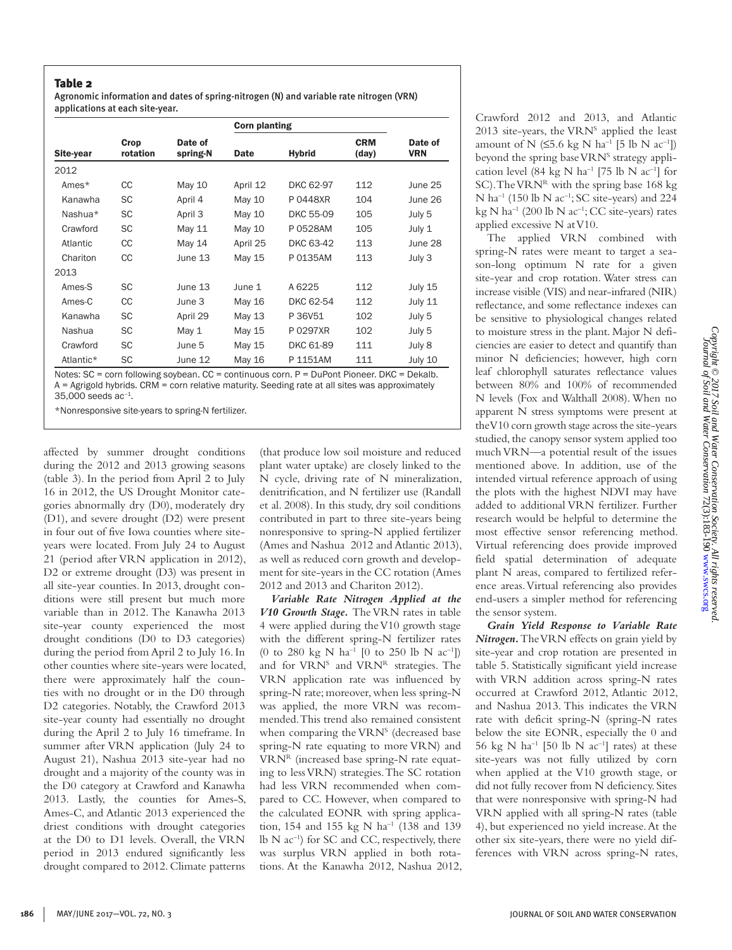#### Table 2

Agronomic information and dates of spring-nitrogen (N) and variable rate nitrogen (VRN) applications at each site-year.

|           |                  |                     | <b>Corn planting</b> |               |                     |                       |
|-----------|------------------|---------------------|----------------------|---------------|---------------------|-----------------------|
| Site-year | Crop<br>rotation | Date of<br>spring-N | <b>Date</b>          | <b>Hybrid</b> | <b>CRM</b><br>(day) | Date of<br><b>VRN</b> |
| 2012      |                  |                     |                      |               |                     |                       |
| Ames*     | CC               | May 10              | April 12             | DKC 62-97     | 112                 | June 25               |
| Kanawha   | SC               | April 4             | May 10               | P0448XR       | 104                 | June 26               |
| Nashua*   | SC               | April 3             | May 10               | DKC 55-09     | 105                 | July 5                |
| Crawford  | <b>SC</b>        | May 11              | May 10               | P 0528AM      | 105                 | July 1                |
| Atlantic  | CC               | May 14              | April 25             | DKC 63-42     | 113                 | June 28               |
| Chariton  | CС               | June 13             | May 15               | P 0135AM      | 113                 | July 3                |
| 2013      |                  |                     |                      |               |                     |                       |
| Ames-S    | <b>SC</b>        | June 13             | June 1               | A 6225        | 112                 | July 15               |
| Ames-C    | CC               | June 3              | May 16               | DKC 62-54     | 112                 | July 11               |
| Kanawha   | <b>SC</b>        | April 29            | May 13               | P 36V51       | 102                 | July 5                |
| Nashua    | <b>SC</b>        | May 1               | May 15               | P 0297XR      | 102                 | July 5                |
| Crawford  | <b>SC</b>        | June 5              | May 15               | DKC 61-89     | 111                 | July 8                |
| Atlantic* | SC               | June 12             | May 16               | P 1151AM      | 111                 | July 10               |

A = Agrigold hybrids. CRM = corn relative maturity. Seeding rate at all sites was approximately 35,000 seeds ac–1.

\*Nonresponsive site-years to spring-N fertilizer.

affected by summer drought conditions during the 2012 and 2013 growing seasons (table 3). In the period from April 2 to July 16 in 2012, the US Drought Monitor categories abnormally dry (D0), moderately dry (D1), and severe drought (D2) were present in four out of five Iowa counties where siteyears were located. From July 24 to August 21 (period after VRN application in 2012), D2 or extreme drought (D3) was present in all site-year counties. In 2013, drought conditions were still present but much more variable than in 2012. The Kanawha 2013 site-year county experienced the most drought conditions (D0 to D3 categories) during the period from April 2 to July 16. In other counties where site-years were located, there were approximately half the counties with no drought or in the D0 through D2 categories. Notably, the Crawford 2013 site-year county had essentially no drought during the April 2 to July 16 timeframe. In summer after VRN application (July 24 to August 21), Nashua 2013 site-year had no drought and a majority of the county was in the D0 category at Crawford and Kanawha 2013. Lastly, the counties for Ames-S, Ames-C, and Atlantic 2013 experienced the driest conditions with drought categories at the D0 to D1 levels. Overall, the VRN period in 2013 endured significantly less drought compared to 2012. Climate patterns (that produce low soil moisture and reduced plant water uptake) are closely linked to the N cycle, driving rate of N mineralization, denitrification, and N fertilizer use (Randall et al. 2008). In this study, dry soil conditions contributed in part to three site-years being nonresponsive to spring-N applied fertilizer (Ames and Nashua 2012 and Atlantic 2013), as well as reduced corn growth and development for site-years in the CC rotation (Ames 2012 and 2013 and Chariton 2012).

*Variable Rate Nitrogen Applied at the V10 Growth Stage.* The VRN rates in table 4 were applied during the V10 growth stage with the different spring-N fertilizer rates (0 to 280 kg N ha<sup>-1</sup> [0 to 250 lb N ac<sup>-1</sup>]) and for VRN<sup>S</sup> and VRN<sup>R</sup> strategies. The VRN application rate was influenced by spring-N rate; moreover, when less spring-N was applied, the more VRN was recommended. This trend also remained consistent when comparing the VRN<sup>S</sup> (decreased base spring-N rate equating to more VRN) and VRNR (increased base spring-N rate equating to less VRN) strategies. The SC rotation had less VRN recommended when compared to CC. However, when compared to the calculated EONR with spring application, 154 and 155 kg N  $ha^{-1}$  (138 and 139 lb  $N$  ac<sup>-1</sup>) for SC and CC, respectively, there was surplus VRN applied in both rotations. At the Kanawha 2012, Nashua 2012,

Crawford 2012 and 2013, and Atlantic 2013 site-years, the VRN<sup>S</sup> applied the least amount of N ( $\leq 5.6$  kg N ha<sup>-1</sup> [5 lb N ac<sup>-1</sup>]) beyond the spring base VRN<sup>s</sup> strategy application level (84 kg N ha<sup>-1</sup> [75 lb N ac<sup>-1</sup>] for SC). The VRN<sup>R</sup> with the spring base 168 kg N ha<sup>-1</sup> (150 lb N ac<sup>-1</sup>; SC site-years) and 224 kg N ha<sup>-1</sup> (200 lb N ac<sup>-1</sup>; CC site-years) rates applied excessive N at V10.

The applied VRN combined with spring-N rates were meant to target a season-long optimum N rate for a given site-year and crop rotation. Water stress can increase visible (VIS) and near-infrared (NIR) reflectance, and some reflectance indexes can be sensitive to physiological changes related to moisture stress in the plant. Major N deficiencies are easier to detect and quantify than minor N deficiencies; however, high corn leaf chlorophyll saturates reflectance values between 80% and 100% of recommended N levels (Fox and Walthall 2008). When no apparent N stress symptoms were present at the V10 corn growth stage across the site-years studied, the canopy sensor system applied too much VRN—a potential result of the issues mentioned above. In addition, use of the intended virtual reference approach of using the plots with the highest NDVI may have added to additional VRN fertilizer. Further research would be helpful to determine the most effective sensor referencing method. Virtual referencing does provide improved field spatial determination of adequate plant N areas, compared to fertilized reference areas. Virtual referencing also provides end-users a simpler method for referencing the sensor system.

*Grain Yield Response to Variable Rate Nitrogen.* The VRN effects on grain yield by site-year and crop rotation are presented in table 5. Statistically significant yield increase with VRN addition across spring-N rates occurred at Crawford 2012, Atlantic 2012, and Nashua 2013. This indicates the VRN rate with deficit spring-N (spring-N rates below the site EONR, especially the 0 and 56 kg N ha<sup>-1</sup> [50 lb N ac<sup>-1</sup>] rates) at these site-years was not fully utilized by corn when applied at the V10 growth stage, or did not fully recover from N deficiency. Sites that were nonresponsive with spring-N had VRN applied with all spring-N rates (table 4), but experienced no yield increase. At the other six site-years, there were no yield differences with VRN across spring-N rates,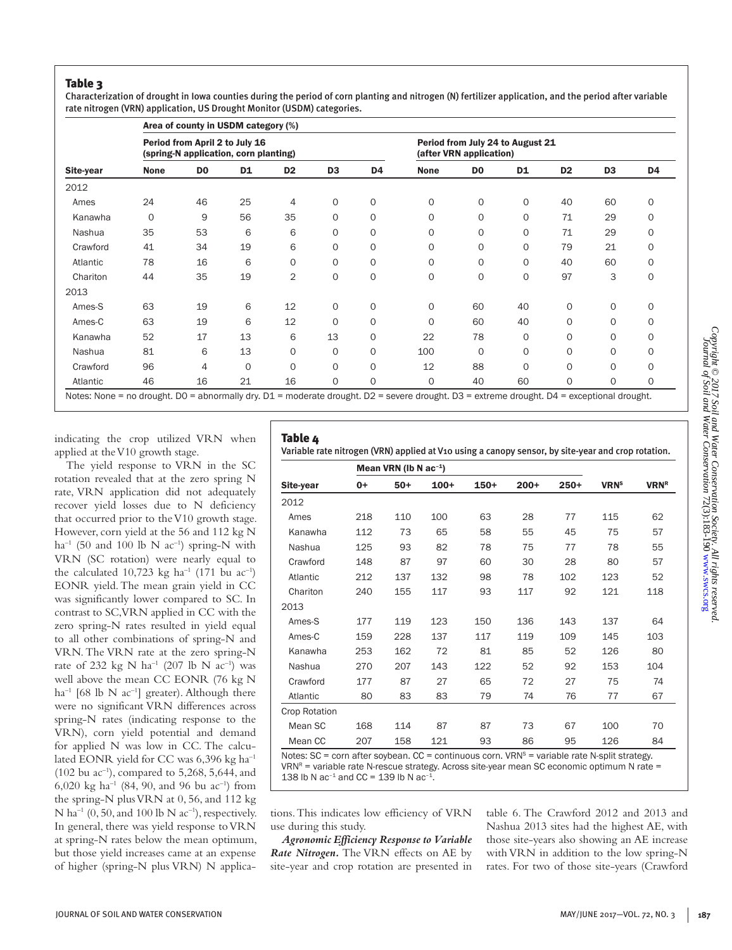### Table 3

Characterization of drought in Iowa counties during the period of corn planting and nitrogen (N) fertilizer application, and the period after variable rate nitrogen (VRN) application, US Drought Monitor (USDM) categories.

|                                                |             |                | Area of county in USDM category (%)                                     |                |                |                |                                                             |                |             |                |                |    |  |
|------------------------------------------------|-------------|----------------|-------------------------------------------------------------------------|----------------|----------------|----------------|-------------------------------------------------------------|----------------|-------------|----------------|----------------|----|--|
|                                                |             |                | Period from April 2 to July 16<br>(spring-N application, corn planting) |                |                |                | Period from July 24 to August 21<br>(after VRN application) |                |             |                |                |    |  |
| Site-year<br>2012<br>Ames<br>Kanawha<br>Nashua | <b>None</b> | D <sub>0</sub> | D1                                                                      | D <sub>2</sub> | D <sub>3</sub> | D <sub>4</sub> | <b>None</b>                                                 | D <sub>0</sub> | D1          | D <sub>2</sub> | D <sub>3</sub> | D4 |  |
|                                                |             |                |                                                                         |                |                |                |                                                             |                |             |                |                |    |  |
|                                                | 24          | 46             | 25                                                                      | 4              | $\circ$        | 0              | 0                                                           | 0              | $\mathbf 0$ | 40             | 60             | 0  |  |
|                                                | $\mathbf 0$ | 9              | 56                                                                      | 35             | $\Omega$       | 0              | 0                                                           | $\Omega$       | $\Omega$    | 71             | 29             | 0  |  |
|                                                | 35          | 53             | 6                                                                       | 6              | $\Omega$       | 0              | 0                                                           | 0              | 0           | 71             | 29             | 0  |  |
| Crawford                                       | 41          | 34             | 19                                                                      | 6              | 0              | 0              | 0                                                           | 0              | 0           | 79             | 21             | 0  |  |
| Atlantic                                       | 78          | 16             | 6                                                                       | $\circ$        | 0              | 0              | 0                                                           | 0              | $\Omega$    | 40             | 60             | 0  |  |
| Chariton                                       | 44          | 35             | 19                                                                      | $\overline{c}$ | 0              | $\circ$        | 0                                                           | 0              | 0           | 97             | 3              | 0  |  |
| 2013                                           |             |                |                                                                         |                |                |                |                                                             |                |             |                |                |    |  |
| Ames-S                                         | 63          | 19             | 6                                                                       | 12             | 0              | 0              | 0                                                           | 60             | 40          | 0              | $\circ$        | 0  |  |
| Ames-C                                         | 63          | 19             | 6                                                                       | 12             | 0              | 0              | 0                                                           | 60             | 40          | 0              | $\Omega$       | 0  |  |
| Kanawha                                        | 52          | 17             | 13                                                                      | 6              | 13             | 0              | 22                                                          | 78             | 0           | 0              | $\Omega$       | 0  |  |
| Nashua                                         | 81          | 6              | 13                                                                      | $\circ$        | 0              | 0              | 100                                                         | 0              | 0           | 0              | $\Omega$       | 0  |  |
| Crawford                                       | 96          | 4              | $\circ$                                                                 | $\mathbf 0$    | 0              | 0              | 12                                                          | 88             | $\mathbf 0$ | $\mathbf 0$    | $\Omega$       | 0  |  |
| Atlantic                                       | 46          | 16             | 21                                                                      | 16             | 0              | $\circ$        | 0                                                           | 40             | 60          | $\circ$        | $\Omega$       | 0  |  |

indicating the crop utilized VRN when applied at the V10 growth stage.

The yield response to VRN in the SC rotation revealed that at the zero spring N rate, VRN application did not adequately recover yield losses due to N deficiency that occurred prior to the V10 growth stage. However, corn yield at the 56 and 112 kg N ha<sup>-1</sup> (50 and 100 lb N ac<sup>-1</sup>) spring-N with VRN (SC rotation) were nearly equal to the calculated 10,723 kg ha<sup>-1</sup> (171 bu ac<sup>-1</sup>) EONR yield. The mean grain yield in CC was significantly lower compared to SC. In contrast to SC, VRN applied in CC with the zero spring-N rates resulted in yield equal to all other combinations of spring-N and VRN. The VRN rate at the zero spring-N rate of 232 kg N ha<sup>-1</sup> (207 lb N ac<sup>-1</sup>) was well above the mean CC EONR (76 kg N ha<sup>-1</sup> [68 lb N ac<sup>-1</sup>] greater). Although there were no significant VRN differences across spring-N rates (indicating response to the VRN), corn yield potential and demand for applied N was low in CC. The calculated EONR yield for CC was 6,396 kg ha<sup>-1</sup> (102 bu  $ac^{-1}$ ), compared to 5,268, 5,644, and 6,020 kg ha<sup>-1</sup> (84, 90, and 96 bu ac<sup>-1</sup>) from the spring-N plus VRN at 0, 56, and 112 kg N ha<sup>-1</sup> (0, 50, and 100 lb N ac<sup>-1</sup>), respectively. In general, there was yield response to VRN at spring-N rates below the mean optimum, but those yield increases came at an expense of higher (spring-N plus VRN) N applica-

## Table 4

Variable rate nitrogen (VRN) applied at V10 using a canopy sensor, by site-year and crop rotation.

|               |      | Mean VRN (Ib N $ac^{-1}$ ) |        |        |        |        |                         |                        |
|---------------|------|----------------------------|--------|--------|--------|--------|-------------------------|------------------------|
| Site-year     | $0+$ | $50+$                      | $100+$ | $150+$ | $200+$ | $250+$ | <b>VRN</b> <sup>s</sup> | <b>VRN<sup>R</sup></b> |
| 2012          |      |                            |        |        |        |        |                         |                        |
| Ames          | 218  | 110                        | 100    | 63     | 28     | 77     | 115                     | 62                     |
| Kanawha       | 112  | 73                         | 65     | 58     | 55     | 45     | 75                      | 57                     |
| Nashua        | 125  | 93                         | 82     | 78     | 75     | 77     | 78                      | 55                     |
| Crawford      | 148  | 87                         | 97     | 60     | 30     | 28     | 80                      | 57                     |
| Atlantic      | 212  | 137                        | 132    | 98     | 78     | 102    | 123                     | 52                     |
| Chariton      | 240  | 155                        | 117    | 93     | 117    | 92     | 121                     | 118                    |
| 2013          |      |                            |        |        |        |        |                         |                        |
| Ames-S        | 177  | 119                        | 123    | 150    | 136    | 143    | 137                     | 64                     |
| Ames-C        | 159  | 228                        | 137    | 117    | 119    | 109    | 145                     | 103                    |
| Kanawha       | 253  | 162                        | 72     | 81     | 85     | 52     | 126                     | 80                     |
| Nashua        | 270  | 207                        | 143    | 122    | 52     | 92     | 153                     | 104                    |
| Crawford      | 177  | 87                         | 27     | 65     | 72     | 27     | 75                      | 74                     |
| Atlantic      | 80   | 83                         | 83     | 79     | 74     | 76     | 77                      | 67                     |
| Crop Rotation |      |                            |        |        |        |        |                         |                        |
| Mean SC       | 168  | 114                        | 87     | 87     | 73     | 67     | 100                     | 70                     |
| Mean CC       | 207  | 158                        | 121    | 93     | 86     | 95     | 126                     | 84                     |

Notes:  $SC =$  corn after soybean.  $CC =$  continuous corn. VRN<sup>s</sup> = variable rate N-split strategy.  $VRN<sup>R</sup>$  = variable rate N-rescue strategy. Across site-year mean SC economic optimum N rate = 138 lb N ac<sup>-1</sup> and CC = 139 lb N ac<sup>-1</sup>.

tions. This indicates low efficiency of VRN use during this study.

*Agronomic Efficiency Response to Variable Rate Nitrogen.* The VRN effects on AE by site-year and crop rotation are presented in

table 6. The Crawford 2012 and 2013 and Nashua 2013 sites had the highest AE, with those site-years also showing an AE increase with VRN in addition to the low spring-N rates. For two of those site-years (Crawford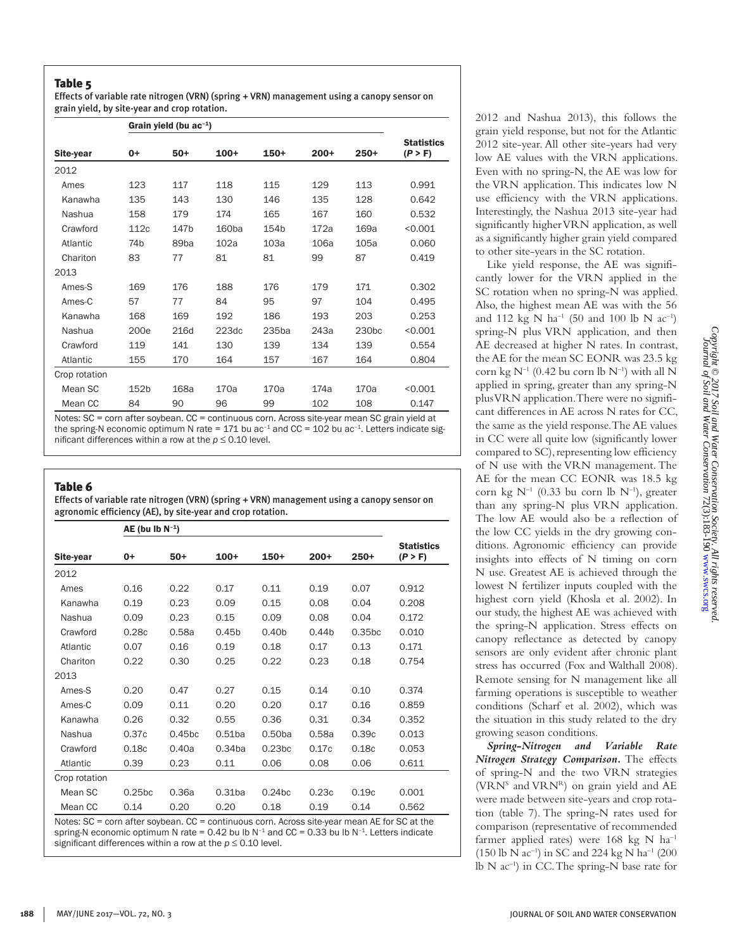Effects of variable rate nitrogen (VRN) (spring + VRN) management using a canopy sensor on grain yield, by site-year and crop rotation.

|               |                 | Grain yield (bu $ac^{-1}$ ) |        |                   |        |                   |                              |  |
|---------------|-----------------|-----------------------------|--------|-------------------|--------|-------------------|------------------------------|--|
| Site-year     | $0+$            | $50+$                       | $100+$ | $150+$            | $200+$ | $250+$            | <b>Statistics</b><br>(P > F) |  |
| 2012          |                 |                             |        |                   |        |                   |                              |  |
| Ames          | 123             | 117                         | 118    | 115               | 129    | 113               | 0.991                        |  |
| Kanawha       | 135             | 143                         | 130    | 146               | 135    | 128               | 0.642                        |  |
| Nashua        | 158             | 179                         | 174    | 165               | 167    | 160               | 0.532                        |  |
| Crawford      | 112c            | 147b                        | 160ba  | 154b              | 172a   | 169a              | < 0.001                      |  |
| Atlantic      | 74 <sub>b</sub> | 89 <sub>ba</sub>            | 102a   | 103a              | 106a   | 105a              | 0.060                        |  |
| Chariton      | 83              | 77                          | 81     | 81                | 99     | 87                | 0.419                        |  |
| 2013          |                 |                             |        |                   |        |                   |                              |  |
| Ames-S        | 169             | 176                         | 188    | 176               | 179    | 171               | 0.302                        |  |
| Ames-C        | 57              | 77                          | 84     | 95                | 97     | 104               | 0.495                        |  |
| Kanawha       | 168             | 169                         | 192    | 186               | 193    | 203               | 0.253                        |  |
| Nashua        | 200e            | 216d                        | 223dc  | 235 <sub>ba</sub> | 243a   | 230 <sub>bc</sub> | < 0.001                      |  |
| Crawford      | 119             | 141                         | 130    | 139               | 134    | 139               | 0.554                        |  |
| Atlantic      | 155             | 170                         | 164    | 157               | 167    | 164               | 0.804                        |  |
| Crop rotation |                 |                             |        |                   |        |                   |                              |  |
| Mean SC       | 152b            | 168a                        | 170a   | 170a              | 174a   | 170a              | < 0.001                      |  |
| Mean CC       | 84              | 90                          | 96     | 99                | 102    | 108               | 0.147                        |  |

Notes: SC = corn after soybean. CC = continuous corn. Across site-year mean SC grain yield at the spring-N economic optimum N rate = 171 bu ac<sup>-1</sup> and CC = 102 bu ac<sup>-1</sup>. Letters indicate significant differences within a row at the  $p \le 0.10$  level.

## Table 6

Effects of variable rate nitrogen (VRN) (spring + VRN) management using a canopy sensor on agronomic efficiency (AE), by site-year and crop rotation.

|               | $AE$ (bu Ib $N^{-1}$ ) |                    |                    |                    |                   |                    |                              |
|---------------|------------------------|--------------------|--------------------|--------------------|-------------------|--------------------|------------------------------|
| Site-year     | $0+$                   | $50+$              | $100+$             | $150+$             | $200+$            | 250+               | <b>Statistics</b><br>(P > F) |
| 2012          |                        |                    |                    |                    |                   |                    |                              |
| Ames          | 0.16                   | 0.22               | 0.17               | 0.11               | 0.19              | 0.07               | 0.912                        |
| Kanawha       | 0.19                   | 0.23               | 0.09               | 0.15               | 0.08              | 0.04               | 0.208                        |
| Nashua        | 0.09                   | 0.23               | 0.15               | 0.09               | 0.08              | 0.04               | 0.172                        |
| Crawford      | 0.28c                  | 0.58a              | 0.45 <sub>b</sub>  | 0.40 <sub>b</sub>  | 0.44 <sub>b</sub> | 0.35 <sub>bc</sub> | 0.010                        |
| Atlantic      | 0.07                   | 0.16               | 0.19               | 0.18               | 0.17              | 0.13               | 0.171                        |
| Chariton      | 0.22                   | 0.30               | 0.25               | 0.22               | 0.23              | 0.18               | 0.754                        |
| 2013          |                        |                    |                    |                    |                   |                    |                              |
| Ames-S        | 0.20                   | 0.47               | 0.27               | 0.15               | 0.14              | 0.10               | 0.374                        |
| Ames-C        | 0.09                   | 0.11               | 0.20               | 0.20               | 0.17              | 0.16               | 0.859                        |
| Kanawha       | 0.26                   | 0.32               | 0.55               | 0.36               | 0.31              | 0.34               | 0.352                        |
| Nashua        | 0.37c                  | 0.45 <sub>bc</sub> | 0.51ba             | 0.50 <sub>ba</sub> | 0.58a             | 0.39c              | 0.013                        |
| Crawford      | 0.18c                  | 0.40a              | 0.34 <sub>ba</sub> | 0.23 <sub>bc</sub> | 0.17c             | 0.18c              | 0.053                        |
| Atlantic      | 0.39                   | 0.23               | 0.11               | 0.06               | 0.08              | 0.06               | 0.611                        |
| Crop rotation |                        |                    |                    |                    |                   |                    |                              |
| Mean SC       | 0.25 <sub>bc</sub>     | 0.36a              | $0.31$ ba          | 0.24 <sub>bc</sub> | 0.23c             | 0.19c              | 0.001                        |
| Mean CC       | 0.14                   | 0.20               | 0.20               | 0.18               | 0.19              | 0.14               | 0.562                        |

Notes: SC = corn after soybean. CC = continuous corn. Across site-year mean AE for SC at the spring-N economic optimum N rate = 0.42 bu lb  $N^{-1}$  and  $CC = 0.33$  bu lb  $N^{-1}$ . Letters indicate significant differences within a row at the *p* ≤ 0.10 level.

2012 and Nashua 2013), this follows the grain yield response, but not for the Atlantic 2012 site-year. All other site-years had very low AE values with the VRN applications. Even with no spring-N, the AE was low for the VRN application. This indicates low N use efficiency with the VRN applications. Interestingly, the Nashua 2013 site-year had significantly higher VRN application, as well as a significantly higher grain yield compared to other site-years in the SC rotation.

Like yield response, the AE was significantly lower for the VRN applied in the SC rotation when no spring-N was applied. Also, the highest mean AE was with the 56 and 112 kg N ha<sup>-1</sup> (50 and 100 lb N ac<sup>-1</sup>) spring-N plus VRN application, and then AE decreased at higher N rates. In contrast, the AE for the mean SC EONR was 23.5 kg corn kg  $N^{-1}$  (0.42 bu corn lb  $N^{-1}$ ) with all N applied in spring, greater than any spring-N plus VRN application. There were no significant differences in AE across N rates for CC, the same as the yield response. The AE values in CC were all quite low (significantly lower compared to SC), representing low efficiency of N use with the VRN management. The AE for the mean CC EONR was 18.5 kg corn kg  $N^{-1}$  (0.33 bu corn lb  $N^{-1}$ ), greater than any spring-N plus VRN application. The low AE would also be a reflection of the low CC yields in the dry growing conditions. Agronomic efficiency can provide insights into effects of N timing on corn N use. Greatest AE is achieved through the lowest N fertilizer inputs coupled with the highest corn yield (Khosla et al. 2002). In our study, the highest AE was achieved with the spring-N application. Stress effects on canopy reflectance as detected by canopy sensors are only evident after chronic plant stress has occurred (Fox and Walthall 2008). Remote sensing for N management like all farming operations is susceptible to weather conditions (Scharf et al. 2002), which was the situation in this study related to the dry growing season conditions.

*Spring-Nitrogen and Variable Rate Nitrogen Strategy Comparison.* The effects of spring-N and the two VRN strategies (VRN<sup>S</sup> and VRN<sup>R</sup>) on grain yield and AE were made between site-years and crop rotation (table 7). The spring-N rates used for comparison (representative of recommended farmer applied rates) were 168 kg N ha<sup>-1</sup> (150 lb N ac–1) in SC and 224 kg N ha–1 (200 lb N ac–1) in CC. The spring-N base rate for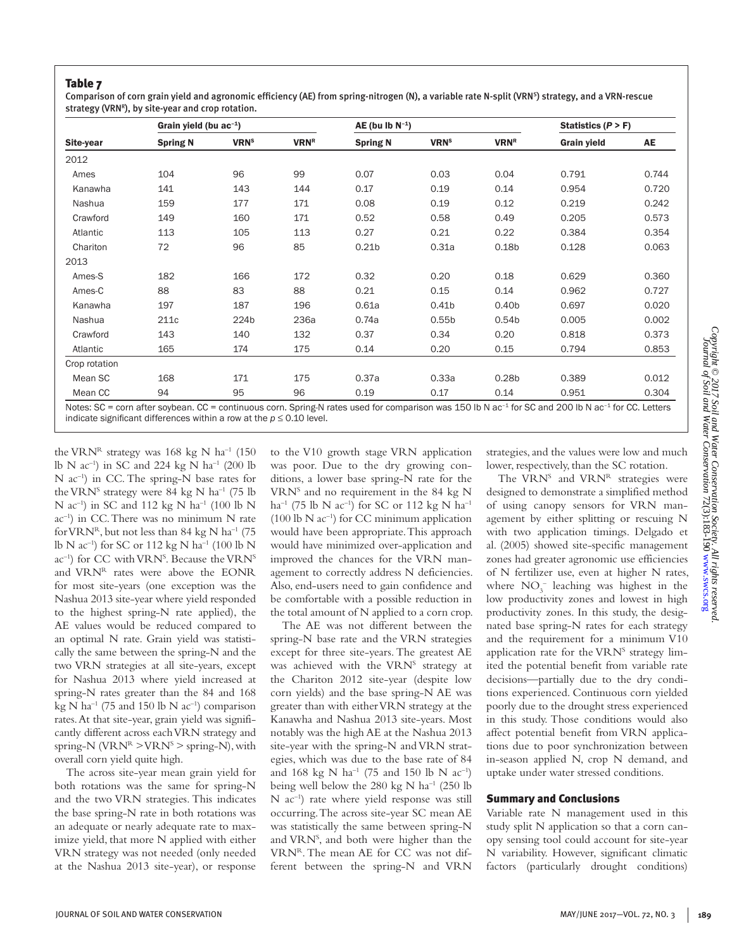Comparison of corn grain yield and agronomic efficiency (AE) from spring-nitrogen (N), a variable rate N-split (VRN<sup>S</sup>) strategy, and a VRN-rescue strategy (VRN $R$ ), by site-year and crop rotation.

|               | Grain yield (bu $ac^{-1}$ ) |                         |             | $AE$ (bu Ib $N^{-1}$ ) |                         |                        | Statistics $(P > F)$ |       |
|---------------|-----------------------------|-------------------------|-------------|------------------------|-------------------------|------------------------|----------------------|-------|
| Site-year     | <b>Spring N</b>             | <b>VRN</b> <sup>s</sup> | <b>VRNR</b> | <b>Spring N</b>        | <b>VRN</b> <sup>s</sup> | <b>VRN<sup>R</sup></b> | <b>Grain yield</b>   | AE    |
| 2012          |                             |                         |             |                        |                         |                        |                      |       |
| Ames          | 104                         | 96                      | 99          | 0.07                   | 0.03                    | 0.04                   | 0.791                | 0.744 |
| Kanawha       | 141                         | 143                     | 144         | 0.17                   | 0.19                    | 0.14                   | 0.954                | 0.720 |
| Nashua        | 159                         | 177                     | 171         | 0.08                   | 0.19                    | 0.12                   | 0.219                | 0.242 |
| Crawford      | 149                         | 160                     | 171         | 0.52                   | 0.58                    | 0.49                   | 0.205                | 0.573 |
| Atlantic      | 113                         | 105                     | 113         | 0.27                   | 0.21                    | 0.22                   | 0.384                | 0.354 |
| Chariton      | 72                          | 96                      | 85          | 0.21 <sub>b</sub>      | 0.31a                   | 0.18 <sub>b</sub>      | 0.128                | 0.063 |
| 2013          |                             |                         |             |                        |                         |                        |                      |       |
| Ames-S        | 182                         | 166                     | 172         | 0.32                   | 0.20                    | 0.18                   | 0.629                | 0.360 |
| Ames-C        | 88                          | 83                      | 88          | 0.21                   | 0.15                    | 0.14                   | 0.962                | 0.727 |
| Kanawha       | 197                         | 187                     | 196         | 0.61a                  | 0.41 <sub>b</sub>       | 0.40 <sub>b</sub>      | 0.697                | 0.020 |
| Nashua        | 211c                        | 224b                    | 236a        | 0.74a                  | 0.55 <sub>b</sub>       | 0.54 <sub>b</sub>      | 0.005                | 0.002 |
| Crawford      | 143                         | 140                     | 132         | 0.37                   | 0.34                    | 0.20                   | 0.818                | 0.373 |
| Atlantic      | 165                         | 174                     | 175         | 0.14                   | 0.20                    | 0.15                   | 0.794                | 0.853 |
| Crop rotation |                             |                         |             |                        |                         |                        |                      |       |
| Mean SC       | 168                         | 171                     | 175         | 0.37a                  | 0.33a                   | 0.28 <sub>b</sub>      | 0.389                | 0.012 |
| Mean CC       | 94                          | 95                      | 96          | 0.19                   | 0.17                    | 0.14                   | 0.951                | 0.304 |

orn after soybean. CC = continuous corn. Spring-N rates used for comparison was 150 lb N ac<sup>-1</sup> for SC and 200 lb N ac<sup>-1</sup> for CC. Letters indicate significant differences within a row at the  $p \le 0.10$  level.

the VRN<sup>R</sup> strategy was 168 kg N ha<sup>-1</sup> (150) lb N  $ac^{-1}$ ) in SC and 224 kg N  $ha^{-1}$  (200 lb N ac<sup>-1</sup>) in CC. The spring-N base rates for the VRN<sup>S</sup> strategy were 84 kg N ha<sup>-1</sup> (75 lb N  $ac^{-1}$ ) in SC and 112 kg N  $ha^{-1}$  (100 lb N  $ac^{-1}$ ) in CC. There was no minimum N rate for VRN<sup>R</sup>, but not less than 84 kg N ha<sup>-1</sup> (75 lb N  $ac^{-1}$ ) for SC or 112 kg N  $ha^{-1}$  (100 lb N ac<sup>-1</sup>) for CC with VRN<sup>S</sup>. Because the VRN<sup>S</sup> and VRNR rates were above the EONR for most site-years (one exception was the Nashua 2013 site-year where yield responded to the highest spring-N rate applied), the AE values would be reduced compared to an optimal N rate. Grain yield was statistically the same between the spring-N and the two VRN strategies at all site-years, except for Nashua 2013 where yield increased at spring-N rates greater than the 84 and 168 kg N ha<sup>-1</sup> (75 and 150 lb N ac<sup>-1</sup>) comparison rates. At that site-year, grain yield was significantly different across each VRN strategy and spring-N ( $\text{VRN}^R$  >  $\text{VRN}^S$  > spring-N), with overall corn yield quite high.

The across site-year mean grain yield for both rotations was the same for spring-N and the two VRN strategies. This indicates the base spring-N rate in both rotations was an adequate or nearly adequate rate to maximize yield, that more N applied with either VRN strategy was not needed (only needed at the Nashua 2013 site-year), or response

to the V10 growth stage VRN application was poor. Due to the dry growing conditions, a lower base spring-N rate for the VRN<sup>S</sup> and no requirement in the 84 kg N ha<sup>-1</sup> (75 lb N ac<sup>-1</sup>) for SC or 112 kg N ha<sup>-1</sup>  $(100$  lb N ac<sup>-1</sup>) for CC minimum application would have been appropriate. This approach would have minimized over-application and improved the chances for the VRN management to correctly address N deficiencies. Also, end-users need to gain confidence and be comfortable with a possible reduction in the total amount of N applied to a corn crop.

The AE was not different between the spring-N base rate and the VRN strategies except for three site-years. The greatest AE was achieved with the VRN<sup>S</sup> strategy at the Chariton 2012 site-year (despite low corn yields) and the base spring-N AE was greater than with either VRN strategy at the Kanawha and Nashua 2013 site-years. Most notably was the high AE at the Nashua 2013 site-year with the spring-N and VRN strategies, which was due to the base rate of 84 and 168 kg N ha<sup>-1</sup> (75 and 150 lb N ac<sup>-1</sup>) being well below the 280 kg N ha<sup>-1</sup> (250 lb N ac–1) rate where yield response was still occurring. The across site-year SC mean AE was statistically the same between spring-N and VRNS , and both were higher than the VRNR. The mean AE for CC was not different between the spring-N and VRN

strategies, and the values were low and much lower, respectively, than the SC rotation.

The VRN<sup>S</sup> and VRN<sup>R</sup> strategies were designed to demonstrate a simplified method of using canopy sensors for VRN management by either splitting or rescuing N with two application timings. Delgado et al. (2005) showed site-specific management zones had greater agronomic use efficiencies of N fertilizer use, even at higher N rates, where  $NO_3^-$  leaching was highest in the low productivity zones and lowest in high productivity zones. In this study, the designated base spring-N rates for each strategy and the requirement for a minimum V10 application rate for the VRN<sup>S</sup> strategy limited the potential benefit from variable rate decisions—partially due to the dry conditions experienced. Continuous corn yielded poorly due to the drought stress experienced in this study. Those conditions would also affect potential benefit from VRN applications due to poor synchronization between in-season applied N, crop N demand, and uptake under water stressed conditions.

#### Summary and Conclusions

Variable rate N management used in this study split N application so that a corn canopy sensing tool could account for site-year N variability. However, significant climatic factors (particularly drought conditions)